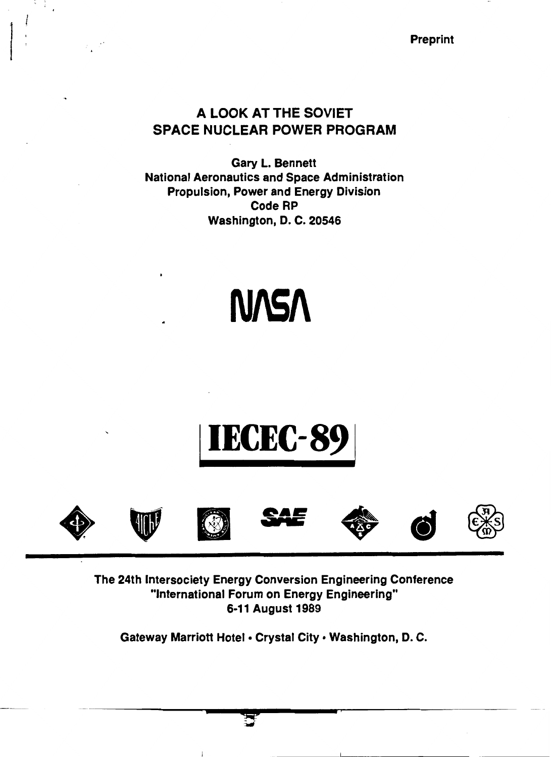Preprint

# A LOOK AT THE SOVIET SPACE NUCLEAR POWER PROGRAM

Gary L. Bennett National Aeronautics and Space Administration Propulsion, Power and Energy Division Code RP Washington, D. C. 20546

# **N/S/\**

# **IECEC-89**













The 24th lntersociety Energy Conversion Engineering Conference "International Forum on Energy Engineering" 6-11 August 1989

Gateway Marriott Hotel • Crystal City • Washington, D. C.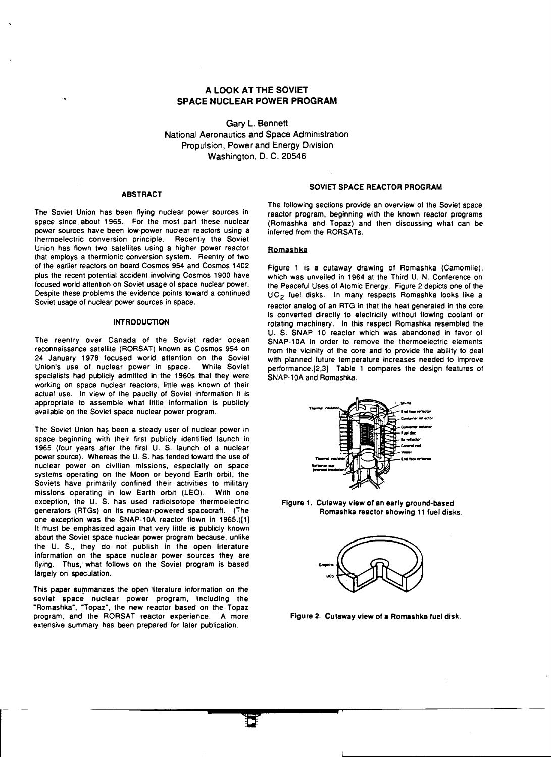## A LOOK AT THE SOVIET SPACE NUCLEAR POWER PROGRAM

Gary L. Bennett National Aeronautics and Space Administration Propulsion, Power and Energy Division Washington, D. C. 20546

#### **ABSTRACT**

The Soviet Union has been flying nuclear power sources in space since about 1965. For the most part these nuclear power sources have been low-power nuclear reactors using a thermoelectric conversion principle. Recently the Soviet Union has flown two satellites using a higher power reactor that employs a thermionic conversion system. Reentry of two of the earlier reactors on board Cosmos 954 and Cosmos 1402 plus the recent potential accident involving Cosmos 1900 have focused world attention on Soviet usage of space nuclear power. Despite these problems the evidence points toward a continued Soviet usage of nuclear power sources in space.

#### **INTRODUCTION**

The reentry over Canada of the Soviet radar ocean reconnaissance satellite (RORSAT) known as Cosmos 954 on 24 January 1978 focused world attention on the Soviet Union's use of nuclear power in space. While Soviet specialists had publicly admitted in the 1960s that they were working on space nuclear reactors, little was known of their actual use. In view of the paucity of Soviet information it is appropriate to assemble what little information is publicly available on the Soviet space nuclear power program.

The Soviet Union has been a steady user of nuclear power in space beginning with their first publicly identified launch in 1965 (four years after the first U. S. launch of a nuclear power source). Whereas the U.S. has tended toward the use of nuclear power on civilian missions, especially on space systems operating on the Moon or beyond Earth orbit, the Soviets have primarily confined their activities to military missions operating in low Earth orbit (LEO). With one exception, the U. S. has used radioisotope thermoelectric generators (RTGs) on its nuclear-powered spacecraft. (The one exception was the SNAP-10A reactor flown in 1965.)[1] It must be emphasized again that very little is publicly known about the Soviet space nuclear power program because, unlike the U. S., they do not publish in the open literature information on the space nuclear power sources they are flying. Thus; what follows on the Soviet program is based largely on speculation.

This paper summarizes the open literature information on the soviet space nuclear power program, including the "Romashka", "Topaz", the new reactor based on the Topaz program, and the RORSAT reactor experience. A more extensive summary has been prepared for later publication.

#### SOVIET SPACE REACTOR PROGRAM

The following sections provide an overview of the Soviet space reactor program, beginning with the known reactor programs (Romashka and Topaz) and then discussing what can be inferred from the RORSATs.

#### Romashka

Figure 1 is a cutaway drawing of Romashka (Camomile), which was unveiled in 1964 at the Third U. N. Conference on the Peaceful Uses of Atomic Energy. Figure 2 depicts one of the UC<sub>2</sub> fuel disks. In many respects Romashka looks like a reactor analog of an RTG in that the heat generated in the core is converted directly to electricity without flowing coolant or rotating machinery. In this respect Romashka resembled the U. S. SNAP 10 reactor which was abandoned in favor of SNAP-10A in order to remove the thermoelectric elements from the vicinity of the core and to provide the ability to deal with planned future temperature increases needed to improve performance.[2,3) Table 1 compares the design features of SNAP-10A and Romashka.



Figure 1. Cutaway view of an early ground-based Romashka reactor showing 11 fuel disks.



Figure 2. Cutaway view of a Romashka fuel disk.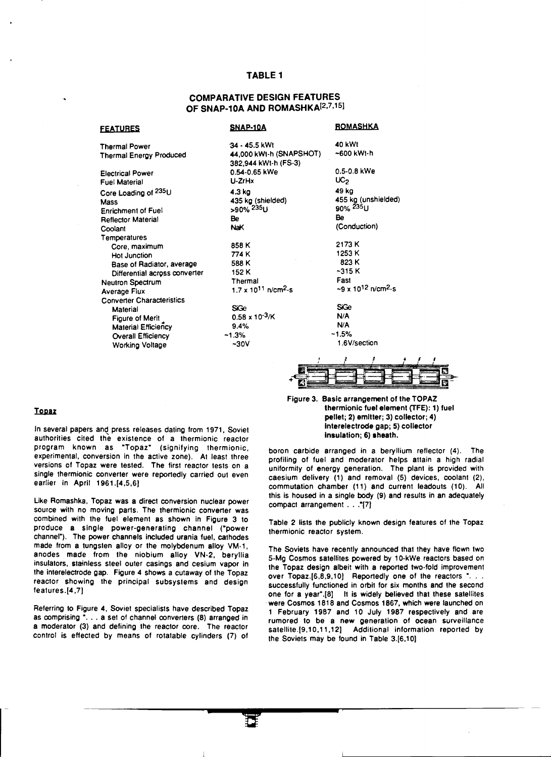#### TABLE 1

## COMPARATIVE DESIGN FEATURES OF SNAP-10A AND ROMASHKA<sup>[2,7,15]</sup>

| <b>FEATURES</b>                  | SNAP-10A                                        | <u>ROMASHKA</u>                                         |
|----------------------------------|-------------------------------------------------|---------------------------------------------------------|
| <b>Thermal Power</b>             | 34 - 45.5 kWt                                   | 40 kWt                                                  |
| <b>Thermal Energy Produced</b>   | 44,000 kWt-h (SNAPSHOT)<br>382.944 kWt-h (FS-3) | ~600 kWt-h                                              |
| <b>Electrical Power</b>          | 0.54-0.65 kWe                                   | 0.5-0.8 kWe                                             |
| <b>Fuel Material</b>             | U-ZrHx                                          | UC <sub>2</sub>                                         |
| Core Loading of 235U             | 4.3 kg                                          | 49 kg                                                   |
| <b>Mass</b>                      | 435 kg (shielded)                               | 455 kg (unshielded)                                     |
| <b>Enrichment of Fuel</b>        | >90% <sup>235</sup> U                           | 90% 235U                                                |
| <b>Reflector Material</b>        | Be                                              | Be                                                      |
| Coolant                          | NaK                                             | (Conduction)                                            |
| Temperatures                     |                                                 |                                                         |
| Core, maximum                    | 858 K                                           | 2173 K                                                  |
| Hot Junction                     | 774 K                                           | 1253 K                                                  |
| Base of Radiator, average        | 588 K                                           | 823 K                                                   |
| Differential across converter    | 152 K                                           | $-315K$                                                 |
| <b>Neutron Spectrum</b>          | Thermal                                         | Fast                                                    |
| Average Flux                     | $1.7 \times 10^{11}$ n/cm <sup>2</sup> -s       | $\sim$ 9 x 10 <sup>12</sup> n/cm <sup>2</sup> -s        |
| <b>Converter Characteristics</b> |                                                 |                                                         |
| Material                         | SiGe                                            | SiGe                                                    |
| Figure of Merit                  | $0.58 \times 10^{-3}$ /K                        | N/A                                                     |
| <b>Material Efficiency</b>       | 9.4%                                            | N/A                                                     |
| <b>Overall Efficiency</b>        | ~1.3%                                           | $-1.5%$                                                 |
| Working Voltage                  | $-30V$                                          | 1.6V/section                                            |
|                                  |                                                 | . .<br>$\sim$ $\sim$ $\sim$ $\sim$ $\sim$ $\sim$ $\sim$ |



Figure 3. Basic arrangement of the TOPAZ thermionic fuel element (TFE): 1) fuel pellet; 2) emitter; 3) collector; 4) lnterelectrode gap; 5) collector Insulation; 6) sheath.

boron carbide arranged in a beryllium reflector (4). The profiling of fuel and moderator helps attain a high radial uniformity of energy generation. The plant is provided with caesium delivery (1) and removal (5) devices, coolant (2). commutation chamber (11) and current leadouts (10). All this is housed in a single body (9) and results in an adequately compact arrangement ... "[7]

Table 2 lists the publicly known design features of the Topaz thermionic reactor system.

The Soviets have recently announced that they have flown two 5-Mg Cosmos satellites powered by 10-kWe reactors based on the Topaz design albeit with a reported two-fold improvement over Topaz.[6,8,9,10] Reportedly one of the reactors ". . . successfully functioned in orbit for six months and the second one for a year<sup>\*</sup>.[8] It is widely believed that these satellites were Cosmos 1818 and Cosmos 1867, which were launched on 1 February 1987 and 10 July 1987 respectively and are rumored to be a new generation of ocean surveillance satellite.[9,10,11,12] Additional information reported by the Soviets may be found in Table 3.(6,10)

#### Topaz

In several papers and press releases dating from 1971, Soviet authorities cited the existence of a thermionic reactor program known as "Topaz• (signifying thermionic, experimental, conversion in the active zone). At least three versions of Topaz were tested. The first reactor tests on a single thermionic converter were reportedly carried out even earlier in April 1961.[4,5,6]

Like Romashka, Topaz was a direct conversion nuclear power source with no moving parts. The thermionic converter was combined with the fuel element as shown in Figure 3 to produce a single power-generating channel ("power channel"). The power channels included urania fuel, cathodes made from a tungsten alloy or the molybdenum alloy VM-1, anodes made from the niobium alloy VN-2, beryllia insulators, stainless steel outer casings and cesium vapor in the interelectrode gap. Figure 4 shows a cutaway of the Topaz reactor showing the principal subsystems and design features.[4,7)

Referring to Figure 4, Soviet specialists have described Topaz as comprising ". . . a set of channel converters (8) arranged in a moderator (3) and defining the reactor core. The reactor control is effected by means of rotatable cylinders (7) of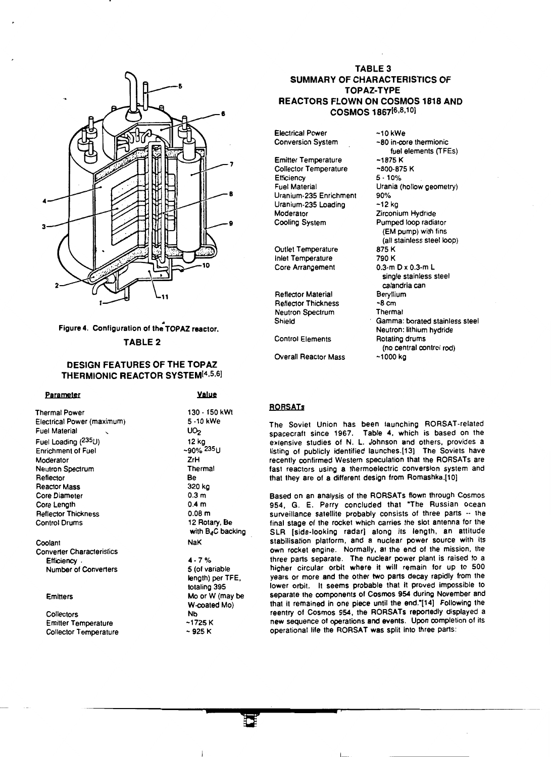

# Figure 4. Configuration of the TOPAZ reactor. TABLE 2

### DESIGN FEATURES OF THE TOPAZ THERMIONIC REACTOR SYSTEM<sup>[4,5,6]</sup>

#### Parameter

Thermal Power Electrical Power (maximum) **Fuel Material** Fuel Loading (235U) Enrichment of Fuel Moderator Neutron Spectrum Reflector Reactor Mass Core Diameter Core Length Reflector Thickness Control Drums

#### Coolant

Converter Characteristics **Efficiency** Number of Converters

#### **Emitters**

**Collectors** Emitter Temperature Collector Temperature

# **Value** 130 • 150 kWt

5-10 kWe  $UO<sub>2</sub>$ 12 kg ~90% <sup>235</sup>U ZrH Thermal Be 320 kg 0.3m 0.4 m O.OBm 12 Rotary, Be with B<sub>4</sub>C backing NaK 4-7% 5 (of variable length) per TFE, totaling 395 Mo or W (may be W-coated Mo) Nb -1725 K  $-925 K$ 

## TABLE 3 SUMMARY OF CHARACTERISTICS OF TOPAZ-TYPE REACTORS FLOWN ON COSMOS 1818 AND COSMOS 1867[6,8,10]

Electrical Power Conversion System

Emitter Temperature Collector Temperature **Efficiency** Fuel Material Uranium-235 Enrichment Uranium-235 Loading Moderator Cooling System

Outlet Temperature Inlet Temperature Core Arrangement

Reflector Material Reflector Thickness Neutron Spectrum Shield

Control Elements

Overall Reactor Mass

#### -10 kWe -80 in-core thermionic fuel elements (TFEs) -1875 K -800-875 K 5·10% Urania (hollow geometry) 90% -12 kg Zirconium Hydride Pumped loop radiator (EM pump) with fins (all stainless steel loop) 875 K 790 K 0.3-m D x 0.3-m L single stainless steel calandria can Beryllium  $-8cm$ **Thermal** Gamma: borated stainless steel Neutron: lithium hydride Rotating drums (no central control rod)

**RORSATs** 

The Soviet Union has been launching BORSAT-related spacecraft since 1967. Table 4, which is based on the extensive studies of N. L. Johnson and others, provides a listing of publicly identified launches.(13] The Soviets have recently confirmed Western speculation that the BORSATs are fast reactors using a thermoelectric conversion system and that they are of a different design from Bomashka.[10]

-1000 kg

Based on an analysis of the BORSATs flown through Cosmos 954, G. E. Perry concluded that "The Russian ocean surveillance satellite probably consists of three parts  $-$  the final stage of the rocket which carries the slot antenna for the SLR [side-looking radar] along its length, an attitude stabilisation platform, and a nuclear power source with its own rocket engine. Normally, at the end of the mission, the three parts separate. The nuclear power plant is raised to a higher circular orbit where it will remain for up to 500 years or more and the other two parts decay rapidly from the lower orbit. It seems probable that it proved impossible to separate the components of Cosmos 954 during November and that it remained in one piece until the end."[14] Following the reentry of Cosmos 954, the RORSATs reportedly displayed a new sequence of operations and events. Upon completion of its operational life the RORSAT was split into three parts: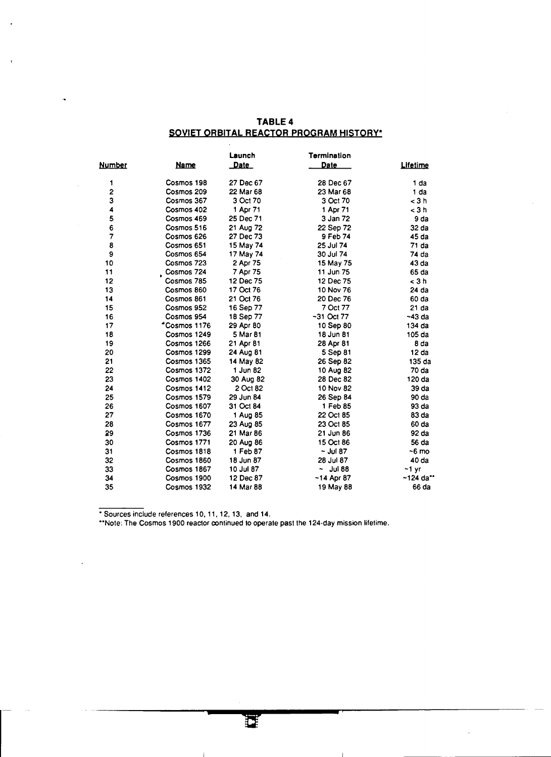# TABLE 4 SOVIET ORBITAL REACTOR PROGRAM HISTORY\*

|        |              | Launch    | <b>Termination</b> |             |
|--------|--------------|-----------|--------------------|-------------|
| Number | <u>Name</u>  | Date      | Date               | Lifetime    |
| 1      | Cosmos 198   | 27 Dec 67 | 28 Dec 67          | 1 da        |
| 2      | Cosmos 209   | 22 Mar 68 | 23 Mar 68          | 1 da        |
| 3      | Cosmos 367   | 3 Oct 70  | 3 Oct 70           | < 3 h       |
| 4      | Cosmos 402   | 1 Apr 71  | 1 Apr 71           | < 3 h       |
| 5      | Cosmos 469   | 25 Dec 71 | 3 Jan 72           | 9 da        |
| 6      | Cosmos 516   | 21 Aug 72 | 22 Sep 72          | 32 da       |
| 7      | Cosmos 626   | 27 Dec 73 | 9 Feb 74           | 45 da       |
| 8      | Cosmos 651   | 15 May 74 | 25 Jul 74          | 71 da       |
| 9      | Cosmos 654   | 17 May 74 | 30 Jul 74          | 74 da       |
| 10     | Cosmos 723   | 2 Apr 75  | 15 May 75          | 43 da       |
| 11     | Cosmos 724   | 7 Apr 75  | 11 Jun 75          | 65 da       |
| 12     | Cosmos 785   | 12 Dec 75 | 12 Dec 75          | < 3h        |
| 13     | Cosmos 860   | 17 Oct 76 | 10 Nov 76          | 24 da       |
| 14     | Cosmos 861   | 21 Oct 76 | 20 Dec 76          | 60 da       |
| 15     | Cosmos 952   | 16 Sep 77 | 7 Oct 77           | 21 da       |
| 16     | Cosmos 954   | 18 Sep 77 | $-31$ Oct 77       | $-43$ da    |
| 17     | *Cosmos 1176 | 29 Apr 80 | 10 Sep 80          | 134 da      |
| 18     | Cosmos 1249  | 5 Mar 81  | 18 Jun 81          | 105 da      |
| 19     | Cosmos 1266  | 21 Apr 81 | 28 Apr 81          | 8 da        |
| 20     | Cosmos 1299  | 24 Aug 81 | 5 Sep 81           | 12 da       |
| 21     | Cosmos 1365  | 14 May 82 | 26 Sep 82          | 135 da      |
| 22     | Cosmos 1372  | 1 Jun 82  | 10 Aug 82          | 70 da       |
| 23     | Cosmos 1402  | 30 Aug 82 | 28 Dec 82          | 120 da      |
| 24     | Cosmos 1412  | 2 Oct 82  | 10 Nov 82          | 39 da       |
| 25     | Cosmos 1579  | 29 Jun 84 | 26 Sep 84          | 90 da       |
| 26     | Cosmos 1607  | 31 Oct 84 | 1 Feb 85           | 93 da       |
| 27     | Cosmos 1670  | 1 Aug 85  | 22 Oct 85          | 83 da       |
| 28     | Cosmos 1677  | 23 Aug 85 | 23 Oct 85          | 60 da       |
| 89     | Cosmos 1736  | 21 Mar 86 | 21 Jun 86          | 92 da       |
| 30     | Cosmos 1771  | 20 Aug 86 | 15 Oct 86          | 56 da       |
| 31     | Cosmos 1818  | 1 Feb 87  | ~ ปม 87            | $-6$ mo     |
| 32     | Cosmos 1860  | 18 Jun 87 | 28 Jul 87          | 40 da       |
| 33     | Cosmos 1867  | 10 Jul 87 | ۰<br><b>Jul 88</b> | ~1 yr       |
| 34     | Cosmos 1900  | 12 Dec 87 | ~14 Apr 87         | $-124$ da** |
| 35     | Cosmos 1932  | 14 Mar 88 | 19 May 88          | 66 da       |

• Sources include references 1 0, 11, 12, 13, and 14.

••Note: The Cosmos 1900 reactor continued to operate past the 124-day mission lifetime.

 $\mathbf{I}$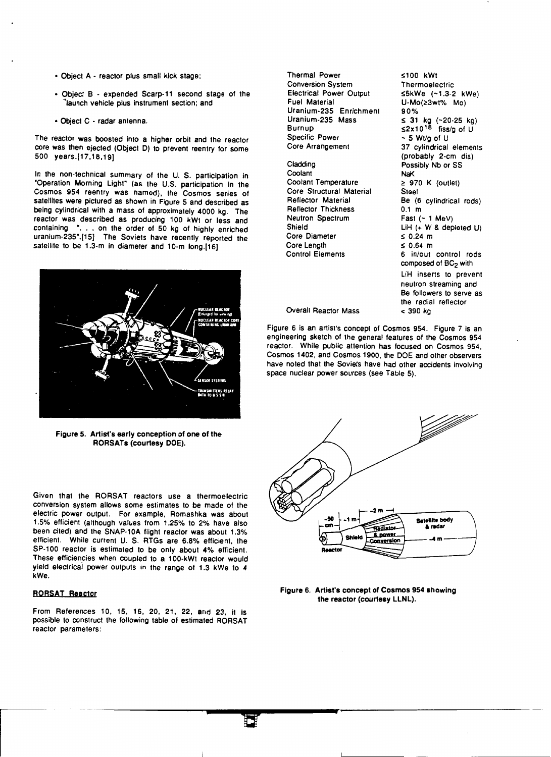- Object A reactor plus small kick stage;
- Object B expended Scarp-11 second stage of the Iaunch vehicle plus instrument section; and
- Object C radar antenna.

The reactor was boosted into a higher orbit and the reactor core was then ejected (Object D) to prevent reentry for some 500 years.[17,18,19)

In the non-technical summary of the U. S. participation in "Operation Morning Light" (as the U.S. participation in the Cosmos 954 reentry was named), the Cosmos series of satellites were pictured as shown in Figure 5 and described as being cylindrical with a mass of approximately 4000 kg. The reactor was described as producing 100 kWt or less and containing \*. . . on the order of 50 kg of highly enriched uranium-235".[15] The Soviets have recently reported the satellite to be 1.3-m in diameter and 10-m long.[16)



Figure 5. Artist's early conception of one of the RORSATs (courtesy DOE).

Given that the RORSAT reactors use a thermoelectric conversion system allows some estimates to be made of the electric power output. For example, Romashka was about 1.5% efficient (although values from 1.25% to 2% have also been cited) and the SNAP-10A flight reactor was about 1.3% efficient. While current U. S. RTGs are 6.8% efficient, the SP-100 reactor is estimated to be only about 4% efficient. These efficiencies when coupled to a 100-kWt reactor would yield electricai power outputs in the range of 1.3 kWe to 4 kWe.

#### RORSAT Reactor

From References 10, 15, 16, 20. 21, 22, and 23, it is possible to construct the following table of estimated RORSAT reactor parameters:

Thermal Power Conversion System Electrical Power Output Fuel Material Uranium-235 Enrichment Uranium-235 Mass **Burnup** Specific Power Core Arrangement

Cladding **Coolant** Coolant Temperature Core Structural Material Reflector Material Reflector Thickness Neutron Spectrum Shield Core Diameter Core Length Control Elements

~100 kWt **Thermoelectric** s5kWe (-1.3-2 kWe) U-Mo(≥3wt% Mo) 90% ≤ 31 kg (~20-25 kg)<br>≤2x10<sup>18</sup> fiss/g of U  $-5$  WVa of U 37 cylindrical elements (probably 2-cm dia) Possibly Nb or SS NaK  $\geq$  970 K (outlet) Steel Be (6 cylindrical rods) 0.1 m Fast  $(-1 \text{ MeV})$ LiH (+ W & depleted U)  $\leq$  0.24 m  $\leq 0.64$  m 6 in/out control rods composed of BC<sub>2</sub> with LiH inserts to prevent neutron streaming and Be followers to serve as the radial reflector < 390 kg

Overall Reactor Mass

Figure 6 is an artist's concept of Cosmos 954. Figure 7 is an engineering sketch of the general features of the Cosmos 954 reactor. While public attention has focused on Cosmos 954, Cosmos 1402, and Cosmos 1900, the DOE and other observers have noted that the Soviets have had other accidents involving space nuclear power sources (see Table 5).



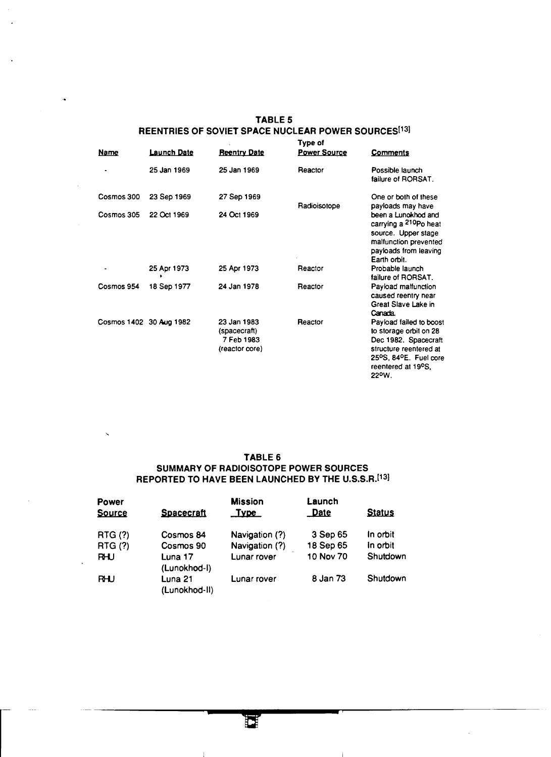| <b>Name</b> | Launch Date             | <b>Reentry Date</b>                                         | Type of<br><b>Power Source</b> | <b>Comments</b>                                                                                                                                             |  |
|-------------|-------------------------|-------------------------------------------------------------|--------------------------------|-------------------------------------------------------------------------------------------------------------------------------------------------------------|--|
| ۰           | 25 Jan 1969             | 25 Jan 1969                                                 | Reactor                        | Possible launch<br>failure of RORSAT.                                                                                                                       |  |
| Cosmos 300  | 23 Sep 1969             | 27 Sep 1969                                                 | Radioisotope                   | One or both of these<br>payloads may have                                                                                                                   |  |
| Cosmos 305  | 22 Oct 1969             | 24 Oct 1969                                                 |                                | been a Lunokhod and<br>carrying a <sup>210</sup> Po heat<br>source. Upper stage<br>malfunction prevented<br>payloads from leaving<br>Earth orbit.           |  |
|             | 25 Apr 1973             | 25 Apr 1973                                                 | Reactor                        | Probable launch<br>failure of RORSAT.                                                                                                                       |  |
| Cosmos 954  | 18 Sep 1977             | 24 Jan 1978                                                 | Reactor                        | Payload malfunction<br>caused reentry near<br>Great Slave Lake in<br>Canada.                                                                                |  |
|             | Cosmos 1402 30 Aug 1982 | 23 Jan 1983<br>(spacecraft)<br>7 Feb 1983<br>(reactor core) | Reactor                        | Payload failed to boost<br>to storage orbit on 28<br>Dec 1982. Spacecraft<br>structure reentered at<br>25°S, 84°E. Fuel core<br>reentered at 19°S.<br>22°W. |  |

# TABLE 5 REENTRIES OF SOVIET SPACE NUCLEAR POWER SOURCES<sup>[13]</sup>

## TABLE 6 SUMMARY OF RADIOISOTOPE POWER SOURCES REPORTED TO HAVE BEEN LAUNCHED BY THE U.S.S.R.[13]

| Power          |                          | <b>Mission</b> | Launch      |               |
|----------------|--------------------------|----------------|-------------|---------------|
| <b>Source</b>  | Spacecraft               | <u>Type</u>    | <b>Date</b> | <b>Status</b> |
| <b>RTG (?)</b> | Cosmos 84                | Navigation (?) | 3 Sep 65    | In orbit      |
| <b>RTG (?)</b> | Cosmos 90                | Navigation (?) | 18 Sep 65   | In orbit      |
| <b>RHU</b>     | Luna 17<br>(Lunokhod-I)  | Lunar rover    | 10 Nov 70   | Shutdown      |
| <b>RHU</b>     | Luna 21<br>(Lunokhod-II) | Lunar rover    | 8 Jan 73    | Shutdown      |

 $\perp$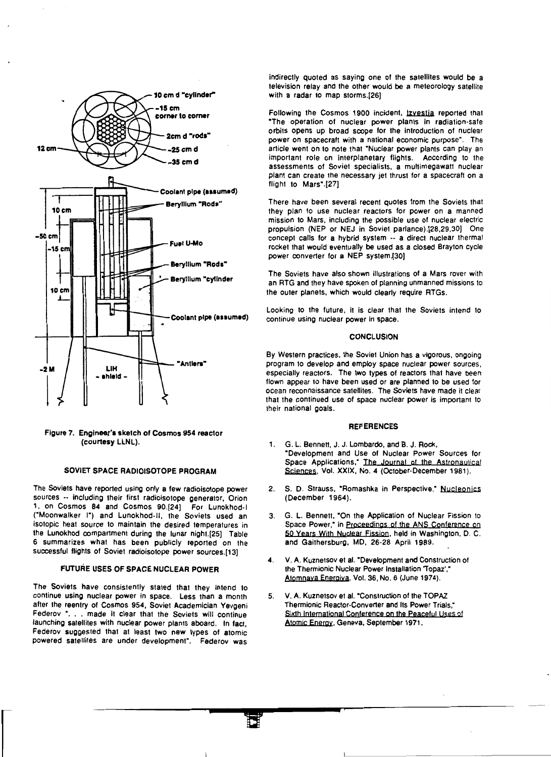

Figure 7. Engineer's sketch of Cosmos 954 reactor (courtesy LLNL).

#### SOVIET SPACE RADIOISOTOPE PROGRAM

The Soviets have reported using only a few radioisotope power sources -- including their first radioisotope generator, Orion 1, on Cosmos 84 and Cosmos 90.(24) For Lunokhod·l ("Moonwalker I") and Lunokhod-11, the Soviets used an isotopic heat source to maintain the desired temperatures in the Lunokhod compartment during the lunar night.[25) Table 6 summarizes what has been publicly reported on the successful flights of Soviet radioisotope power sources.(13)

#### FUTURE USES OF SPACE NUCLEAR POWER

The Soviets have consistently stated that they intend to continue using nuclear power in space. Less than a month after the reentry of Cosmos 954, Soviet Academician Yevgeni Federov ". . . made it clear that the Soviets will continue launching satellites with nuclear power plants aboard. In fact, Federov suggested that at least two new types of atomic powered satellites are under development". Federov was

indirectly quoted as saying one of the satellites would be a television relay and the other would be a meteorology satellite with a radar to map storms.[26)

Following the Cosmos 1900 incident, Izvestia reported that "The operation of nuclear power plants in radiation-safe orbits opens up broad scope for the introduction of nuclear power on spacecraft with a national economic purpose". The article went on to note that "Nuclear power plants can play an important role on interplanetary flights. According to the assessments of Soviet specialists, a multimegawatt nuclear plant can create the necessary jet thrust for a spacecraft on a flight to Mars" .[27)

There have been several recent quotes from the Soviets that they plan to use nuclear reactors for power on a manned mission to Mars, including the possible use of nuclear electric propulsion (NEP or NEJ in Soviet parlance).[28,29,30) One concept calls for a hybrid system -- a direct nuclear thermal rocket that would eventually be used as a closed Brayton cycle power converter for a NEP system.(30)

The Soviets have also shown illustrations of a Mars rover with an RTG and they have spoken of planning unmanned missions to the outer planets, which would clearly require RTGs.

Looking to the future, it is clear that the Soviets intend to continue using nuclear power in space.

#### CONCLUSION

By Western practices, the Soviet Union has a vigorous, ongoing program to develop and employ space nuclear power sources, especially reactors. The two types of reactors that have been flown appear to have been used or are planned to be used for ocean reconnaissance satellites. The Soviets have made it clear that the continued use of space nuclear power is important to their national goals.

#### **REFERENCES**

- 1. G. L. Bennett, J. J. Lombardo, and B. J. Rock, "Development and Use of Nuclear Power Sources for Space Applications," The Journal of the Astronautical Sciences, Vol. XXIX, No. 4 (October-December 1981).
- 2. S. D. Strauss, "Romashka in Perspective," Nucleonics (December 1964).
- 3. G. L. Bennett, "On the Application of Nuclear Fission to Space Power," in Proceedings of the ANS Conference on 50 Years With Nuclear Fission, held in Washington, D. C. and Gaithersburg, MD, 26-28 April 1989.
- 4. V. A. Kuznetsov et al. "Development and Construction of the Thermionic Nuclear Power Installation 'Topaz'," Atomnaya Energiya, Vol. 36, No. 6 (June 1974).
- 5. V. A. Kuznetsov et al. "Construction of the TOPAZ Thermionic Reactor-Converter and Its Power Trials," Sixth International Conference on the Peaceful Uses of Atomic Energy, Geneva, September 1971.